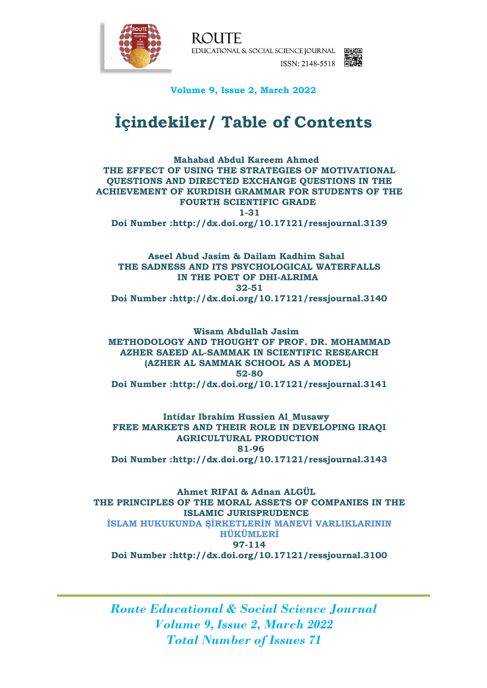

**ROUTE** EDUCATIONAL & SOCIAL SCIENCE JOURNAL ISSN: 2148-5518

## **Volume 9, Issue 2, March 2022**

# **İçindekiler/ Table of Contents**

**Mahabad Abdul Kareem Ahmed [THE EFFECT OF USING THE STRATEGIES OF MOTIVATIONAL](https://www.ressjournal.com/DergiTamDetay.aspx?ID=3139&Detay=Ozet)  [QUESTIONS AND DIRECTED EXCHANGE QUESTIONS IN THE](https://www.ressjournal.com/DergiTamDetay.aspx?ID=3139&Detay=Ozet)  [ACHIEVEMENT OF KURDISH GRAMMAR FOR STUDENTS OF THE](https://www.ressjournal.com/DergiTamDetay.aspx?ID=3139&Detay=Ozet)  [FOURTH SCIENTIFIC GRADE](https://www.ressjournal.com/DergiTamDetay.aspx?ID=3139&Detay=Ozet) [1-31](https://www.ressjournal.com/DergiTamDetay.aspx?ID=3139&Detay=Ozet) [Doi Number :http://dx.doi.org/10.17121/ressjournal.3139](http://dx.doi.org/10.17121/ressjournal.3139)**

**Aseel Abud Jasim & Dailam Kadhim Sahal [THE SADNESS AND ITS PSYCHOLOGICAL WATERFALLS](https://www.ressjournal.com/DergiTamDetay.aspx?ID=3140&Detay=Ozet)  [IN THE POET OF DHI-ALRIMA](https://www.ressjournal.com/DergiTamDetay.aspx?ID=3140&Detay=Ozet)  [32-51](https://www.ressjournal.com/DergiTamDetay.aspx?ID=3140&Detay=Ozet) [Doi Number :http://dx.doi.org/10.17121/ressjournal.3140](http://dx.doi.org/10.17121/ressjournal.3140)**

**Wisam Abdullah Jasim [METHODOLOGY AND THOUGHT OF PROF. DR. MOHAMMAD](https://www.ressjournal.com/DergiTamDetay.aspx?ID=3141&Detay=Ozet)  [AZHER SAEED AL-SAMMAK IN SCIENTIFIC RESEARCH](https://www.ressjournal.com/DergiTamDetay.aspx?ID=3141&Detay=Ozet)  [\(AZHER AL SAMMAK SCHOOL AS A MODEL\)](https://www.ressjournal.com/DergiTamDetay.aspx?ID=3141&Detay=Ozet) [52-80](https://www.ressjournal.com/DergiTamDetay.aspx?ID=3141&Detay=Ozet) [Doi Number :http://dx.doi.org/10.17121/ressjournal.3141](http://dx.doi.org/10.17121/ressjournal.3141)**

**Intidar Ibrahim Hussien Al\_Musawy [FREE MARKETS AND THEIR ROLE IN DEVELOPING IRAQI](https://www.ressjournal.com/DergiTamDetay.aspx?ID=3143&Detay=Ozet)  [AGRICULTURAL PRODUCTION](https://www.ressjournal.com/DergiTamDetay.aspx?ID=3143&Detay=Ozet)  [81-96](https://www.ressjournal.com/DergiTamDetay.aspx?ID=3143&Detay=Ozet) [Doi Number :http://dx.doi.org/10.17121/ressjournal.3143](http://dx.doi.org/10.17121/ressjournal.3143)**

**Ahmet RIFAI & Adnan ALGÜL [THE PRINCIPLES OF THE MORAL ASSETS OF COMPANIES IN THE](https://www.ressjournal.com/DergiTamDetay.aspx?ID=3100&Detay=Ozet)  [ISLAMIC JURISPRUDENCE](https://www.ressjournal.com/DergiTamDetay.aspx?ID=3100&Detay=Ozet)  [İSLAM HUKUKUNDA ŞİRKETLERİN MANEVİ VARLIKLARININ](https://www.ressjournal.com/DergiTamDetay.aspx?ID=3100&Detay=Ozet)  [HÜKÜMLERİ](https://www.ressjournal.com/DergiTamDetay.aspx?ID=3100&Detay=Ozet) 97-114 [Doi Number :http://dx.doi.org/10.17121/ressjournal.3100](http://dx.doi.org/10.17121/ressjournal.3100)**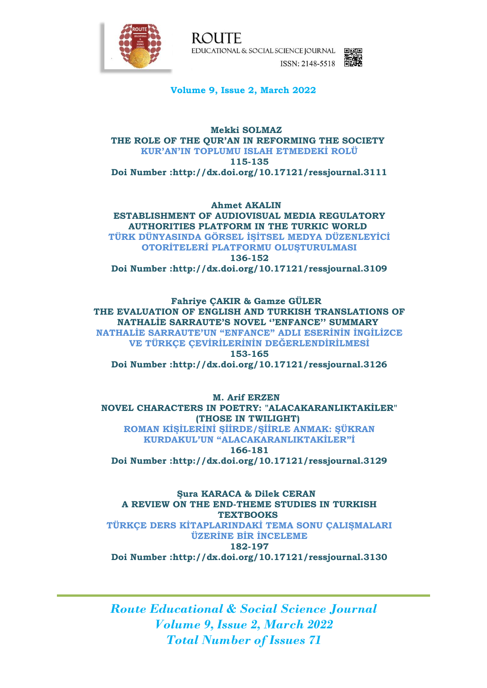

**ROUTE** EDUCATIONAL & SOCIAL SCIENCE JOURNAL EXE ISSN: 2148-5518



**Volume 9, Issue 2, March 2022**

### **Mekki SOLMAZ [THE ROLE OF THE QUR'AN IN REFORMING THE SOCIETY](https://www.ressjournal.com/DergiTamDetay.aspx?ID=3111&Detay=Ozet) [KUR'AN'IN TOPLUMU ISLAH ETMEDEKİ ROLÜ](https://www.ressjournal.com/DergiTamDetay.aspx?ID=3111&Detay=Ozet) 115-135 [Doi Number :http://dx.doi.org/10.17121/ressjournal.3111](http://dx.doi.org/10.17121/ressjournal.3111)**

**Ahmet AKALIN [ESTABLISHMENT OF AUDIOVISUAL MEDIA REGULATORY](https://www.ressjournal.com/DergiTamDetay.aspx?ID=3109&Detay=Ozet)  [AUTHORITIES PLATFORM IN THE TURKIC WORLD](https://www.ressjournal.com/DergiTamDetay.aspx?ID=3109&Detay=Ozet) [TÜRK DÜNYASINDA GÖRSEL İŞİTSEL MEDYA DÜZENLEYİCİ](https://www.ressjournal.com/DergiTamDetay.aspx?ID=3109&Detay=Ozet)  [OTORİTELERİ PLATFORMU OLUŞTURULMASI](https://www.ressjournal.com/DergiTamDetay.aspx?ID=3109&Detay=Ozet) 136-152 [Doi Number :http://dx.doi.org/10.17121/ressjournal.3109](http://dx.doi.org/10.17121/ressjournal.3109)**

**Fahriye ÇAKIR & Gamze GÜLER [THE EVALUATION OF ENGLISH AND TURKISH TRANSLATIONS OF](https://www.ressjournal.com/DergiTamDetay.aspx?ID=3126&Detay=Ozet)  [NATHALİE SARRAUTE'S NOVEL ''ENFANCE'' SUMMARY](https://www.ressjournal.com/DergiTamDetay.aspx?ID=3126&Detay=Ozet) [NATHALİE SARRAUTE'UN "ENFANCE" ADLI ESERİNİN İNGİLİZCE](https://www.ressjournal.com/DergiTamDetay.aspx?ID=3126&Detay=Ozet)  [VE TÜRKÇE ÇEVİRİLERİNİN DEĞERLENDİRİLMESİ](https://www.ressjournal.com/DergiTamDetay.aspx?ID=3126&Detay=Ozet) 153-165 [Doi Number :http://dx.doi.org/10.17121/ressjournal.3126](http://dx.doi.org/10.17121/ressjournal.3126)**

**M. Arif ERZEN [NOVEL CHARACTERS IN POETRY: "ALAC](https://www.ressjournal.com/DergiTamDetay.aspx?ID=3129&Detay=Ozet)AKARANLIKTAKİLER" [\(THOSE IN TWILIGHT\)](https://www.ressjournal.com/DergiTamDetay.aspx?ID=3129&Detay=Ozet) [ROMAN KİŞİLERİNİ ŞİİRDE/ŞİİRLE ANMAK: ŞÜKRAN](https://www.ressjournal.com/DergiTamDetay.aspx?ID=3129&Detay=Ozet)  [KURDAKUL'UN "ALACAKARANLIKTAKİLER"İ](https://www.ressjournal.com/DergiTamDetay.aspx?ID=3129&Detay=Ozet) 166-181 [Doi Number :http://dx.doi.org/10.17121/ressjournal.3129](http://dx.doi.org/10.17121/ressjournal.3129)**

**Şura KARACA & Dilek CERAN [A REVIEW ON THE END-THEME STUDIES IN TURKISH](https://www.ressjournal.com/DergiTamDetay.aspx?ID=3130&Detay=Ozet)  [TEXTBOOKS](https://www.ressjournal.com/DergiTamDetay.aspx?ID=3130&Detay=Ozet)  [TÜRKÇE DERS KİTAPLARINDAKİ TEMA SONU ÇALIŞMALARI](https://www.ressjournal.com/DergiTamDetay.aspx?ID=3130&Detay=Ozet)  [ÜZERİNE BİR İNCELEME](https://www.ressjournal.com/DergiTamDetay.aspx?ID=3130&Detay=Ozet) 182-197 [Doi Number :http://dx.doi.org/10.17121/ressjournal.3130](http://dx.doi.org/10.17121/ressjournal.3130)**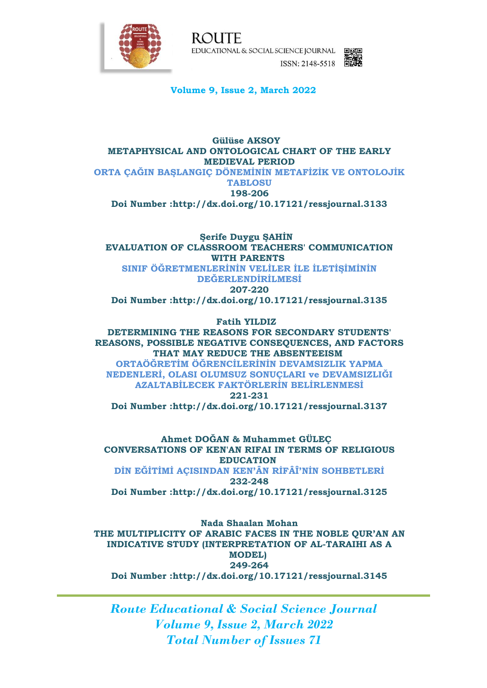

ROUTE EDUCATIONAL & SOCIAL SCIENCE JOURNAL EXE ISSN: 2148-5518



**Volume 9, Issue 2, March 2022**

### **Gülüse AKSOY [METAPHYSICAL AND ONTOLOGICAL CHART OF THE EARLY](https://www.ressjournal.com/DergiTamDetay.aspx?ID=3133&Detay=Ozet)  [MEDIEVAL PERIOD](https://www.ressjournal.com/DergiTamDetay.aspx?ID=3133&Detay=Ozet)  [ORTA ÇAĞIN BAŞLANGIÇ DÖNEMİNİN METAFİZİK VE ONTOLOJİK](https://www.ressjournal.com/DergiTamDetay.aspx?ID=3133&Detay=Ozet)  [TABLOSU](https://www.ressjournal.com/DergiTamDetay.aspx?ID=3133&Detay=Ozet) 198-206 [Doi Number :http://dx.doi.org/10.17121/ressjournal.3133](http://dx.doi.org/10.17121/ressjournal.3133)**

**Şerife Duygu ŞAHİN [EVALUATION OF CLASSROOM TEACHERS' COMMUNICATION](https://www.ressjournal.com/DergiTamDetay.aspx?ID=3135&Detay=Ozet)  [WITH PARENTS](https://www.ressjournal.com/DergiTamDetay.aspx?ID=3135&Detay=Ozet) [SINIF ÖĞRETMENLERİNİN VELİLER İLE İLETİŞİMİNİN](https://www.ressjournal.com/DergiTamDetay.aspx?ID=3135&Detay=Ozet)  [DEĞERLENDİRİLMESİ](https://www.ressjournal.com/DergiTamDetay.aspx?ID=3135&Detay=Ozet) 207-220**

**[Doi Number :http://dx.doi.org/10.17121/ressjournal.3135](http://dx.doi.org/10.17121/ressjournal.3135)**

**Fatih YILDIZ** 

**[DETERMINING THE REASONS FOR SECONDARY STUDENTS'](https://www.ressjournal.com/DergiTamDetay.aspx?ID=3137&Detay=Ozet)  [REASONS, POSSIBLE NEGATIVE CONSEQUENCES, AND FACTORS](https://www.ressjournal.com/DergiTamDetay.aspx?ID=3137&Detay=Ozet)  [THAT MAY REDUCE THE ABSENTEEISM](https://www.ressjournal.com/DergiTamDetay.aspx?ID=3137&Detay=Ozet) [ORTAÖĞRETİM ÖĞRENCİLERİNİN DEVAMSIZLIK YAPMA](https://www.ressjournal.com/DergiTamDetay.aspx?ID=3137&Detay=Ozet)  [NEDENLERİ, OLASI OLUMSUZ SONUÇLARI ve DEVAMSIZLIĞI](https://www.ressjournal.com/DergiTamDetay.aspx?ID=3137&Detay=Ozet)  [AZALTABİLECEK FAKTÖRLERİN BELİRLENMESİ](https://www.ressjournal.com/DergiTamDetay.aspx?ID=3137&Detay=Ozet) 221-231 [Doi Number :http://dx.doi.org/10.17121/ressjournal.3137](http://dx.doi.org/10.17121/ressjournal.3137)**

**Ahmet DOĞAN & Muhammet GÜLEÇ [CONVERSATIONS OF KEN'AN RIFAI IN TERMS OF RELIGIOUS](https://www.ressjournal.com/DergiTamDetay.aspx?ID=3125&Detay=Ozet)  [EDUCATION](https://www.ressjournal.com/DergiTamDetay.aspx?ID=3125&Detay=Ozet) [DİN EĞİTİMİ AÇISINDAN KEN'ÂN RİFÂÎ'NİN SOHBETLERİ](https://www.ressjournal.com/DergiTamDetay.aspx?ID=3125&Detay=Ozet) 232-248 [Doi Number :http://dx.doi.org/10.17121/ressjournal.3125](http://dx.doi.org/10.17121/ressjournal.3125)**

**Nada Shaalan Mohan [THE MULTIPLICITY OF ARABIC FACES IN THE NOBLE QUR'AN AN](https://www.ressjournal.com/DergiTamDetay.aspx?ID=3145&Detay=Ozet)  [INDICATIVE STUDY \(INTERPRETATION OF AL-TARAIHI AS A](https://www.ressjournal.com/DergiTamDetay.aspx?ID=3145&Detay=Ozet)  [MODEL\)](https://www.ressjournal.com/DergiTamDetay.aspx?ID=3145&Detay=Ozet) [249-264](https://www.ressjournal.com/DergiTamDetay.aspx?ID=3145&Detay=Ozet) [Doi Number :http://dx.doi.org/10.17121/ressjournal.3145](http://dx.doi.org/10.17121/ressjournal.3145)**